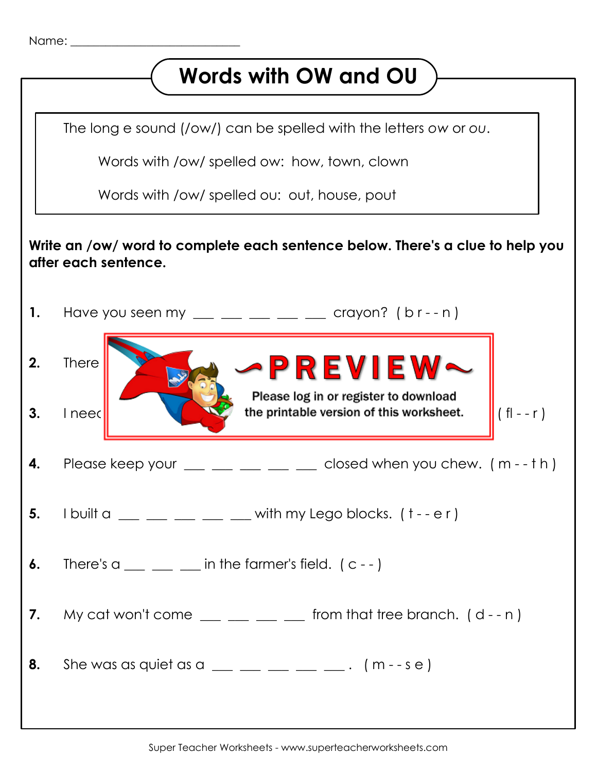

## **Words with OW and OU** The long e sound (/ow/) can be spelled with the letters *ow* or *ou*. Words with /ow/ spelled ow: how, town, clown Words with /ow/ spelled ou: out, house, pout **Write an /ow/ word to complete each sentence below. There's a clue to help you after each sentence. 1.** Have you seen my \_\_ \_ \_ \_ \_ \_ \_ crayon? (b r - - n) **2.** There  $\sum_{i=1}^{\infty}$   $\mathbb{Z}$   $\mathbb{Z}$   $\mathbb{Z}$   $\mathbb{Z}$   $\mathbb{Z}$   $\mathbb{Z}$   $\mathbb{Z}$   $\mathbb{Z}$   $\mathbb{Z}$   $\mathbb{Z}$   $\mathbb{Z}$   $\mathbb{Z}$   $\mathbb{Z}$   $\mathbb{Z}$   $\mathbb{Z}$   $\mathbb{Z}$   $\mathbb{Z}$   $\mathbb{Z}$   $\mathbb{Z}$   $\mathbb{Z}$   $\mathbb{Z}$   $\mathbb{Z$ Please log in or register to download **3.** I need  $\begin{bmatrix} 1 & 1 \\ 0 & 1 \end{bmatrix}$  the printable version of this worksheet.  $\begin{bmatrix} 1 \\ 0 \end{bmatrix}$  (fig. - r) **4.** Please keep your  $\_\_\_\_\_\_\_\_\_\_\_\_\_\_$  closed when you chew.  $(m - th)$ **5.** I built a  $\_\_\_\_\_\_\_\_\_\_\_\_\_\_\_\_\_\_$  with my Lego blocks.  $(1 - e r)$ **6.** There's  $a \_ \_ \_ \_$  in the farmer's field.  $(c - 1)$ **7.** My cat won't come  $\underline{\hspace{1cm}} = \underline{\hspace{1cm}} = \underline{\hspace{1cm}}$  from that tree branch. (d - - n) **8.** She was as quiet as a  $\_\_$   $\_\_$   $\_\_$   $\_\_$   $\_\_$  (m - - s e )